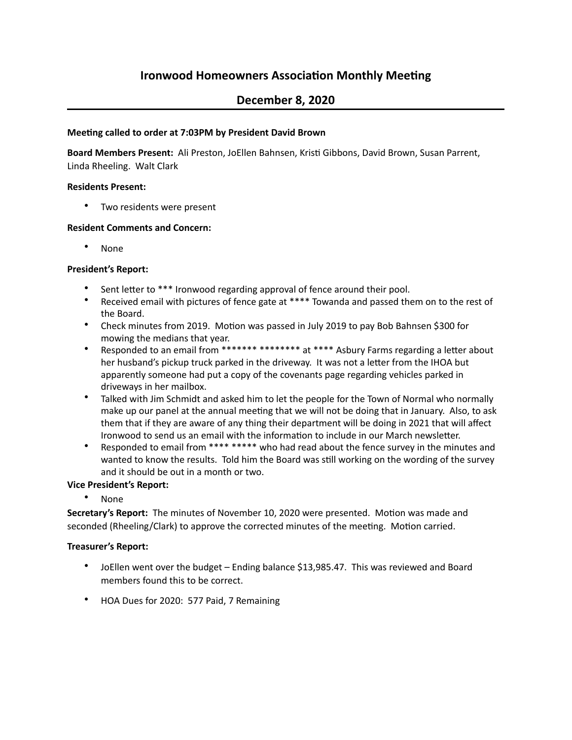# **Ironwood Homeowners Association Monthly Meeting**

# **December 8, 2020**

## **Meeting called to order at 7:03PM by President David Brown**

Board Members Present: Ali Preston, JoEllen Bahnsen, Kristi Gibbons, David Brown, Susan Parrent, Linda Rheeling. Walt Clark

## **Residents Present:**

• Two residents were present

## **Resident Comments and Concern:**

• None

## **President's Report:**

- Sent letter to \*\*\* Ironwood regarding approval of fence around their pool.
- Received email with pictures of fence gate at \*\*\*\* Towanda and passed them on to the rest of the Board.
- Check minutes from 2019. Motion was passed in July 2019 to pay Bob Bahnsen \$300 for mowing the medians that year.
- Responded to an email from \*\*\*\*\*\*\* \*\*\*\*\*\*\*\* at \*\*\*\* Asbury Farms regarding a letter about her husband's pickup truck parked in the driveway. It was not a letter from the IHOA but apparently someone had put a copy of the covenants page regarding vehicles parked in driveways in her mailbox.
- Talked with Jim Schmidt and asked him to let the people for the Town of Normal who normally make up our panel at the annual meeting that we will not be doing that in January. Also, to ask them that if they are aware of any thing their department will be doing in 2021 that will affect Ironwood to send us an email with the information to include in our March newsletter.
- Responded to email from \*\*\*\*\*\*\*\*\* who had read about the fence survey in the minutes and wanted to know the results. Told him the Board was still working on the wording of the survey and it should be out in a month or two.

## **Vice President's Report:**

• None

Secretary's Report: The minutes of November 10, 2020 were presented. Motion was made and seconded (Rheeling/Clark) to approve the corrected minutes of the meeting. Motion carried.

### **Treasurer's Report:**

- JoEllen went over the budget Ending balance \$13,985.47. This was reviewed and Board members found this to be correct.
- HOA Dues for 2020: 577 Paid, 7 Remaining